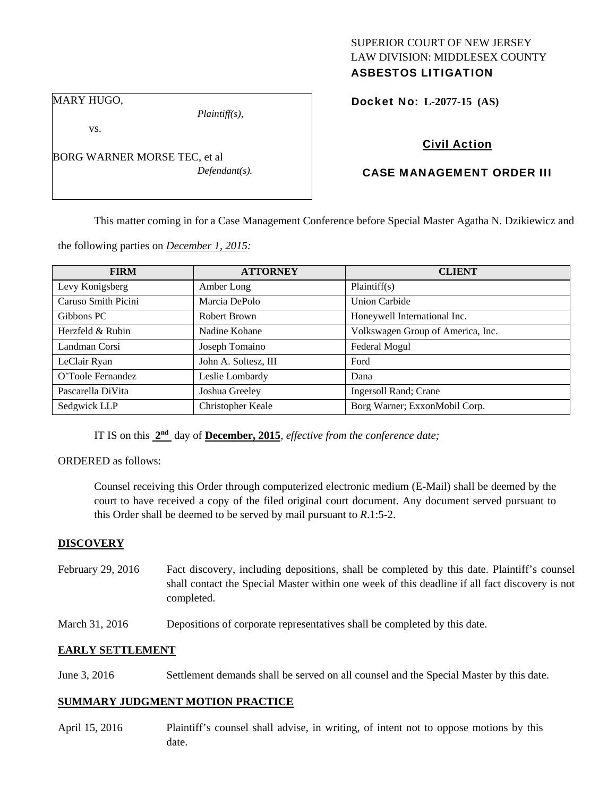# SUPERIOR COURT OF NEW JERSEY LAW DIVISION: MIDDLESEX COUNTY ASBESTOS LITIGATION

MARY HUGO,

*Plaintiff(s),* 

vs.

BORG WARNER MORSE TEC, et al *Defendant(s).*  Docket No: **L-2077-15 (AS)** 

# Civil Action

# CASE MANAGEMENT ORDER III

This matter coming in for a Case Management Conference before Special Master Agatha N. Dzikiewicz and

the following parties on *December 1, 2015:* 

| <b>FIRM</b>         | <b>ATTORNEY</b>      | <b>CLIENT</b>                     |
|---------------------|----------------------|-----------------------------------|
| Levy Konigsberg     | Amber Long           | Plaintiff(s)                      |
| Caruso Smith Picini | Marcia DePolo        | <b>Union Carbide</b>              |
| Gibbons PC          | Robert Brown         | Honeywell International Inc.      |
| Herzfeld & Rubin    | Nadine Kohane        | Volkswagen Group of America, Inc. |
| Landman Corsi       | Joseph Tomaino       | Federal Mogul                     |
| LeClair Ryan        | John A. Soltesz, III | Ford                              |
| O'Toole Fernandez   | Leslie Lombardy      | Dana                              |
| Pascarella DiVita   | Joshua Greeley       | Ingersoll Rand; Crane             |
| Sedgwick LLP        | Christopher Keale    | Borg Warner; ExxonMobil Corp.     |

IT IS on this **2nd** day of **December, 2015**, *effective from the conference date;*

## ORDERED as follows:

Counsel receiving this Order through computerized electronic medium (E-Mail) shall be deemed by the court to have received a copy of the filed original court document. Any document served pursuant to this Order shall be deemed to be served by mail pursuant to *R*.1:5-2.

## **DISCOVERY**

- February 29, 2016 Fact discovery, including depositions, shall be completed by this date. Plaintiff's counsel shall contact the Special Master within one week of this deadline if all fact discovery is not completed.
- March 31, 2016 Depositions of corporate representatives shall be completed by this date.

## **EARLY SETTLEMENT**

June 3, 2016 Settlement demands shall be served on all counsel and the Special Master by this date.

## **SUMMARY JUDGMENT MOTION PRACTICE**

April 15, 2016 Plaintiff's counsel shall advise, in writing, of intent not to oppose motions by this date.